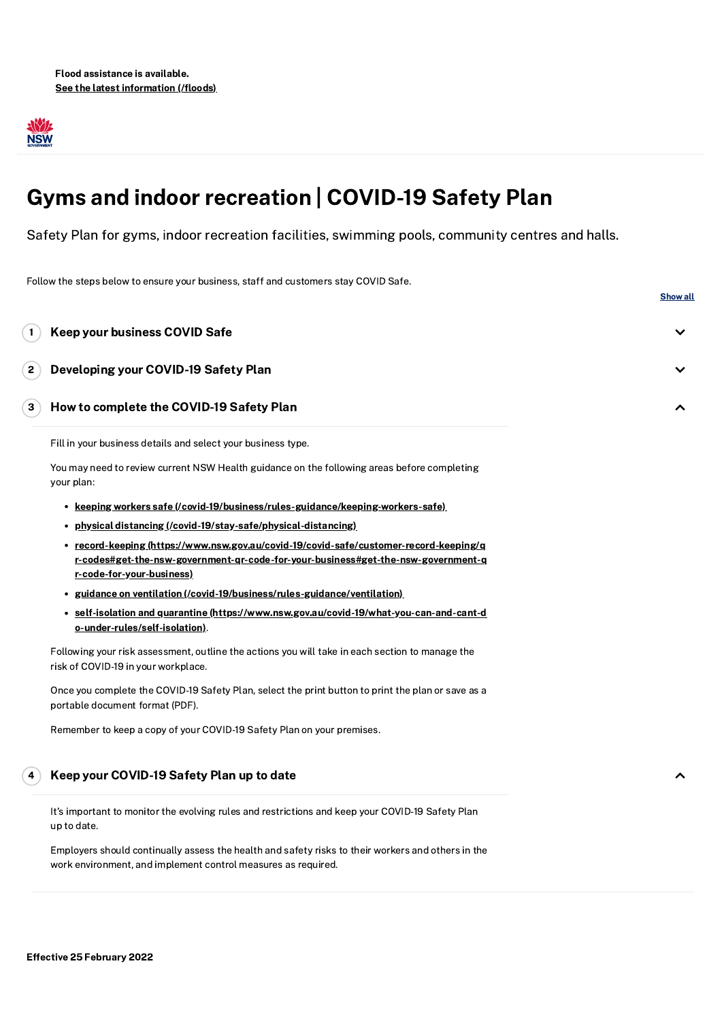

# Gyms and indoor recreation | COVID-19 Safety Plan

Safety Plan for gyms, indoor recreation facilities, swimming pools, community centres and halls.

Follow the steps below to ensure your business, staff and customers stay COVID Safe. **Show all** Fill in your business details and select your business type. You may need to review current NSW Health guidance on the following areas before completing your plan: **• keeping workers safe [\(/covid-19/business/rules-guidance/keeping-workers-safe\)](https://www.nsw.gov.au/covid-19/business/rules-guidance/keeping-workers-safe)** physical distancing [\(/covid-19/stay-safe/physical-distancing\)](https://www.nsw.gov.au/covid-19/stay-safe/physical-distancing) record-keeping (https://www.nsw.gov.au/covid-19/covid-safe/customer-record-keeping/q [r-codes#get-the-nsw-government-qr-code-for-your-business#get-the-nsw-government-q](https://www.nsw.gov.au/covid-19/covid-safe/customer-record-keeping/qr-codes#get-the-nsw-government-qr-code-for-your-business#get-the-nsw-government-qr-code-for-your-business) r-code-for-your-business) • guidance on ventilation [\(/covid-19/business/rules-guidance/ventilation\)](https://www.nsw.gov.au/covid-19/business/rules-guidance/ventilation) self-isolation and quarantine [\(https://www.nsw.gov.au/covid-19/what-you-can-and-cant-d](https://www.nsw.gov.au/covid-19/what-you-can-and-cant-do-under-rules/self-isolation) o-under-rules/self-isolation). Following your risk assessment, outline the actions you will take in each section to manage the risk of COVID-19 in your workplace. Once you complete the COVID-19 Safety Plan, select the print button to print the plan or save as a portable document format (PDF). Remember to keep a copy of your COVID-19 Safety Plan on your premises. Keep your business COVID Safe Developing your COVID-19 Safety Plan How to complete the COVID-19 Safety Plan Keep your COVID-19 Safety Plan up to date 1 2 3 4

It's important to monitor the evolving rules and restrictions and keep your COVID-19 Safety Plan up to date.

Employers should continually assess the health and safety risks to their workers and others in the work environment, and implement control measures as required.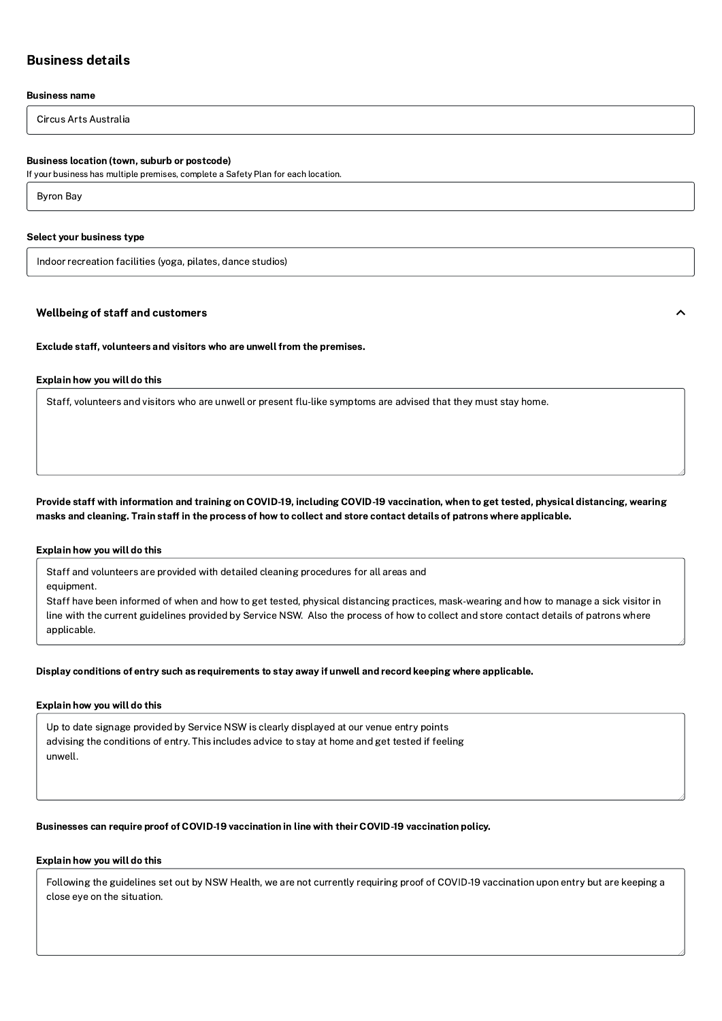## Business details

## Business name

Circus Arts Australia

## Business location (town, suburb or postcode)

If your business has multiple premises, complete a Safety Plan for each location.

Byron Bay

#### Select your business type

Indoor recreation facilities (yoga, pilates, dance studios)

## Wellbeing of staff and customers

Exclude staff, volunteers and visitors who are unwell from the premises.

## Explain how you will do this

Staff, volunteers and visitors who are unwell or present flu-like symptoms are advised that they must stay home.

Provide staff with information and training on COVID-19, including COVID-19 vaccination, when to get tested, physical distancing, wearing masks and cleaning. Train staff in the process of how to collect and store contact details of patrons where applicable.

## Explain how you will do this

Staff and volunteers are provided with detailed cleaning procedures for all areas and

equipment.

Staff have been informed of when and how to get tested, physical distancing practices, mask-wearing and how to manage a sick visitor in line with the current guidelines provided by Service NSW. Also the process of how to collect and store contact details of patrons where applicable.

Display conditions of entry such as requirements to stay away if unwell and record keeping where applicable.

## Explain how you will do this

Up to date signage provided by Service NSW is clearly displayed at our venue entry points advising the conditions of entry. This includes advice to stay at home and get tested if feeling unwell.

## Businesses can require proof of COVID-19 vaccination in line with their COVID-19 vaccination policy.

## Explain how you will do this

Following the guidelines set out by NSW Health, we are not currently requiring proof of COVID-19 vaccination upon entry but are keeping a close eye on the situation.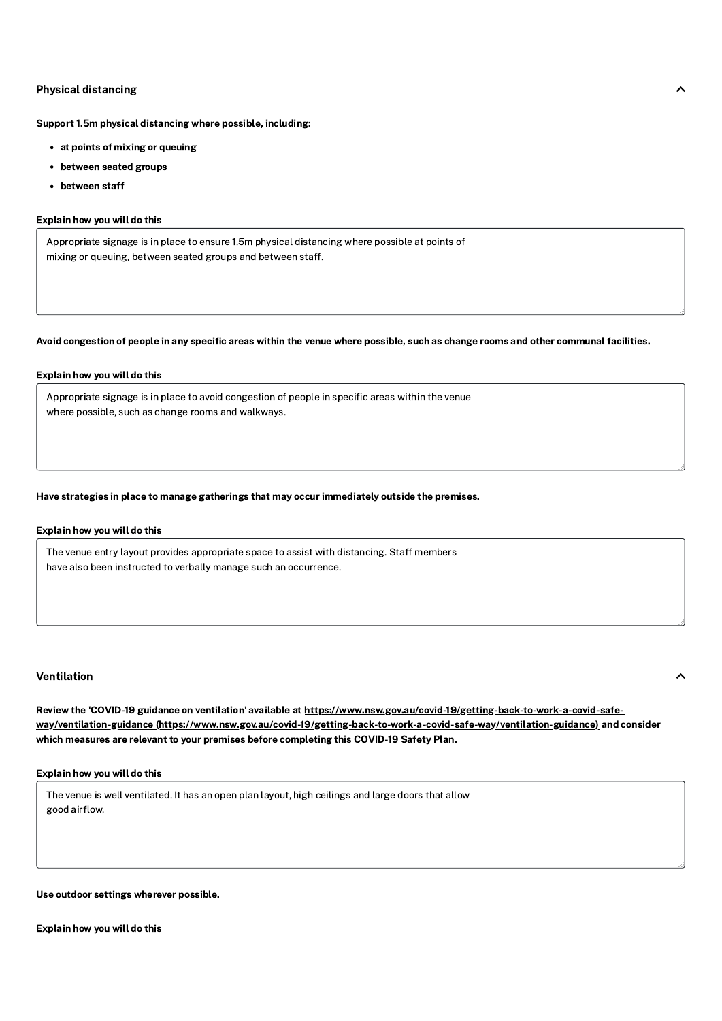## Physical distancing

Support 1.5m physical distancing where possible, including:

- at points of mixing or queuing
- between seated groups
- between staff

## Explain how you will do this

Appropriate signage is in place to ensure 1.5m physical distancing where possible at points of mixing or queuing, between seated groups and between staff.

## Avoid congestion of people in any specific areas within the venue where possible, such as change rooms and other communal facilities.

## Explain how you will do this

Appropriate signage is in place to avoid congestion of people in specific areas within the venue where possible, such as change rooms and walkways.

## Have strategies in place to manage gatherings that may occur immediately outside the premises.

#### Explain how you will do this

The venue entry layout provides appropriate space to assist with distancing. Staff members have also been instructed to verbally manage such an occurrence.

## Ventilation keyboard $\sim$

Review the 'COVID-19 guidance on ventilation' available at https://www.nsw.gov.au/covid-19/getting-back-to-work-a-covid-safeway/ventilation-guidance [\(https://www.nsw.gov.au/covid-19/getting-back-to-work-a-covid-safe-way/ventilation-guidance\)](https://www.nsw.gov.au/covid-19/getting-back-to-work-a-covid-safe-way/ventilation-guidance) and consider which measures are relevant to your premises before completing this COVID-19 Safety Plan.

## Explain how you will do this

The venue is well ventilated. It has an open plan layout, high ceilings and large doors that allow good airflow.

## Use outdoor settings wherever possible.

Explain how you will do this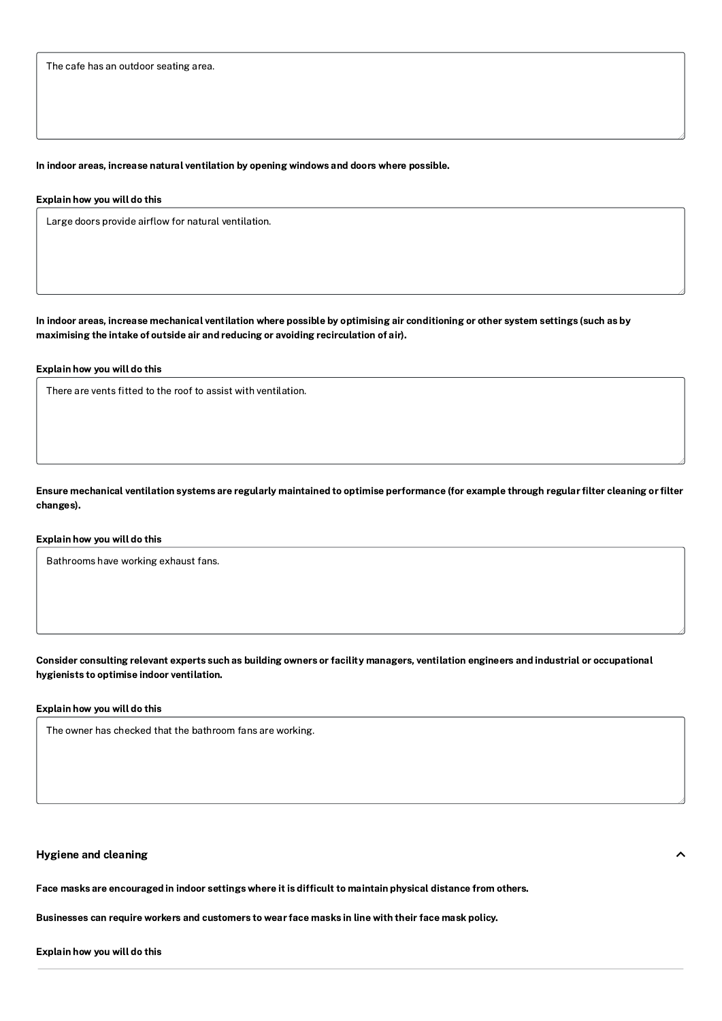The cafe has an outdoor seating area.

## In indoor areas, increase natural ventilation by opening windows and doors where possible.

#### Explain how you will do this

Large doors provide airflow for natural ventilation.

In indoor areas, increase mechanical ventilation where possible by optimising air conditioning or other system settings (such as by maximising the intake of outside air and reducing or avoiding recirculation of air).

## Explain how you will do this

There are vents fitted to the roof to assist with ventilation.

Ensure mechanical ventilation systems are regularly maintained to optimise performance (for example through regular filter cleaning or filter changes).

## Explain how you will do this

Bathrooms have working exhaust fans.

Consider consulting relevant experts such as building owners or facility managers, ventilation engineers and industrial or occupational hygienists to optimise indoor ventilation.

## Explain how you will do this

The owner has checked that the bathroom fans are working.

## Hygiene and cleaning

Face masks are encouraged in indoor settings where it is difficult to maintain physical distance from others.

Businesses can require workers and customers to wear face masks in line with their face mask policy.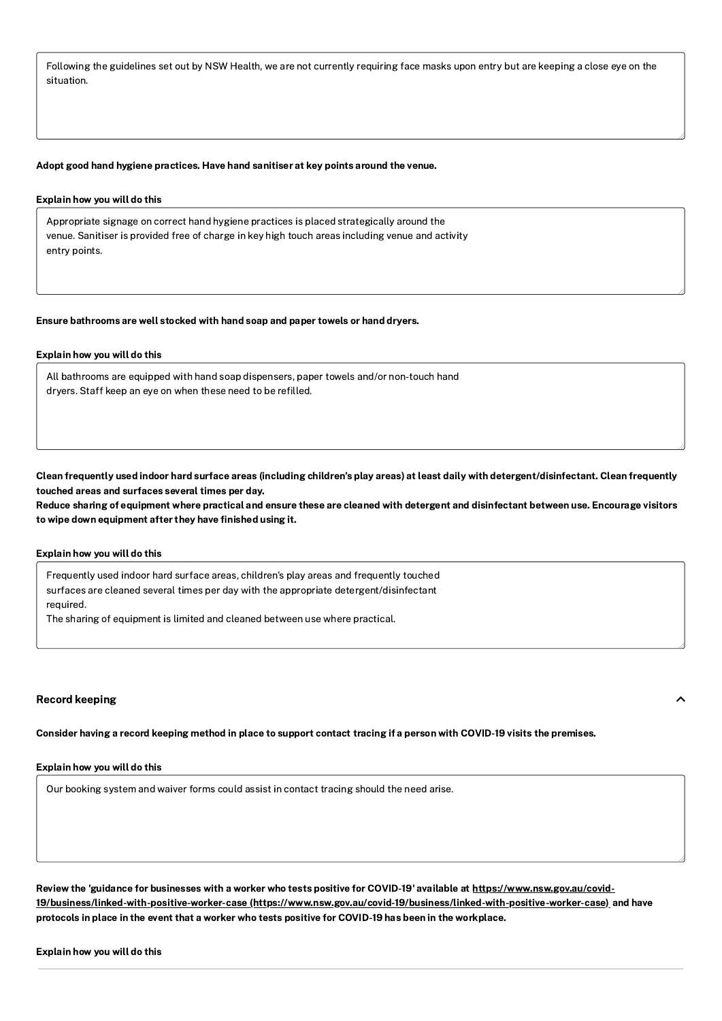Following the guidelines set out by NSW Health, we are not currently requiring face masks upon entry but are keeping a close eye on the situation.

#### Adopt good hand hygiene practices. Have hand sanitiser at key points around the venue.

## Explain how you will do this

Appropriate signage on correct hand hygiene practices is placed strategically around the venue. Sanitiser is provided free of charge in key high touch areas including venue and activity entry points.

#### Ensure bathrooms are well stocked with hand soap and paper towels or hand dryers.

## Explain how you will do this

All bathrooms are equipped with hand soap dispensers, paper towels and/or non-touch hand dryers. Staff keep an eye on when these need to be refilled.

Clean frequently used indoor hard surface areas (including children's play areas) at least daily with detergent/disinfectant. Clean frequently touched areas and surfaces several times per day.

Reduce sharing of equipment where practical and ensure these are cleaned with detergent and disinfectant between use. Encourage visitors to wipe down equipment after they have finished using it.

## Explain how you will do this

Frequently used indoor hard surface areas, children's play areas and frequently touched surfaces are cleaned several times per day with the appropriate detergent/disinfectant required.

The sharing of equipment is limited and cleaned between use where practical.

#### Record keeping

Consider having a record keeping method in place to support contact tracing if a person with COVID-19 visits the premises.

#### Explain how you will do this

Our booking system and waiver forms could assist in contact tracing should the need arise.

Review the 'guidance for businesses with a worker who tests positive for COVID-19' available at https://www.nsw.gov.au/covid-19/business/linked-with-positive-worker-case [\(https://www.nsw.gov.au/covid-19/business/linked-with-positive-worker-case\)](https://www.nsw.gov.au/covid-19/business/linked-with-positive-worker-case) and have protocols in place in the event that a worker who tests positive for COVID-19 has been in the workplace.